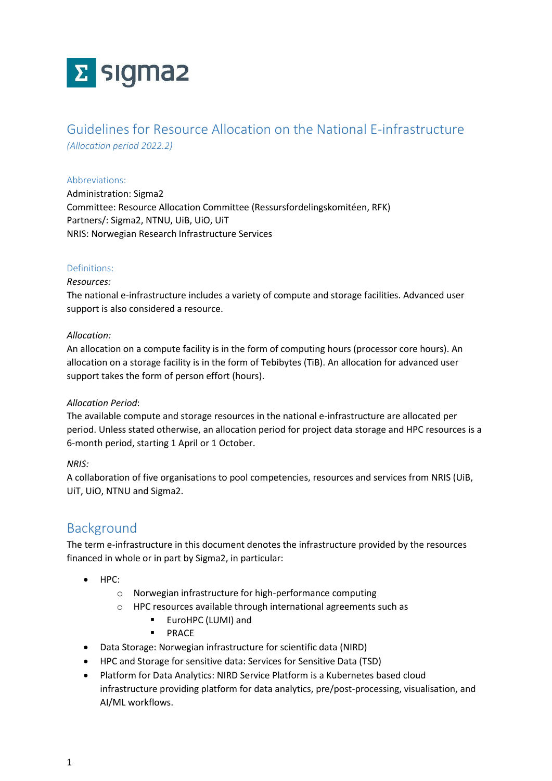# Σ sigma2

# Guidelines for Resource Allocation on the National E-infrastructure

*(Allocation period 2022.2)*

#### Abbreviations:

Administration: Sigma2 Committee: Resource Allocation Committee (Ressursfordelingskomitéen, RFK) Partners/: Sigma2, NTNU, UiB, UiO, UiT NRIS: Norwegian Research Infrastructure Services

## Definitions:

#### *Resources:*

The national e-infrastructure includes a variety of compute and storage facilities. Advanced user support is also considered a resource.

#### *Allocation:*

An allocation on a compute facility is in the form of computing hours (processor core hours). An allocation on a storage facility is in the form of Tebibytes (TiB). An allocation for advanced user support takes the form of person effort (hours).

## *Allocation Period*:

The available compute and storage resources in the national e-infrastructure are allocated per period. Unless stated otherwise, an allocation period for project data storage and HPC resources is a 6-month period, starting 1 April or 1 October.

## *NRIS:*

A collaboration of five organisations to pool competencies, resources and services from NRIS (UiB, UiT, UiO, NTNU and Sigma2.

## Background

The term e-infrastructure in this document denotes the infrastructure provided by the resources financed in whole or in part by Sigma2, in particular:

- HPC:
	- o Norwegian infrastructure for high-performance computing
	- o HPC resources available through international agreements such as
		- EuroHPC (LUMI) and
		- PRACE
- Data Storage: Norwegian infrastructure for scientific data (NIRD)
- HPC and Storage for sensitive data: Services for Sensitive Data (TSD)
- Platform for Data Analytics: NIRD Service Platform is a Kubernetes based cloud infrastructure providing platform for data analytics, pre/post-processing, visualisation, and AI/ML workflows.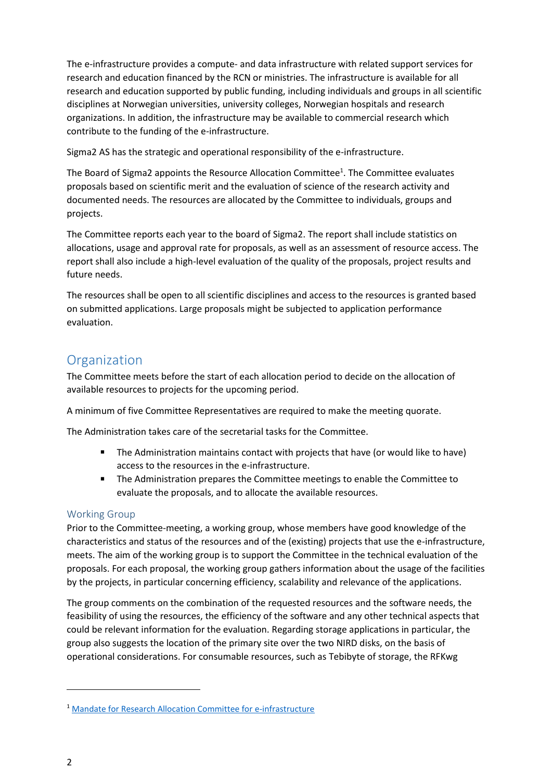The e-infrastructure provides a compute- and data infrastructure with related support services for research and education financed by the RCN or ministries. The infrastructure is available for all research and education supported by public funding, including individuals and groups in all scientific disciplines at Norwegian universities, university colleges, Norwegian hospitals and research organizations. In addition, the infrastructure may be available to commercial research which contribute to the funding of the e-infrastructure.

Sigma2 AS has the strategic and operational responsibility of the e-infrastructure.

The Board of Sigma2 appoints the Resource Allocation Committee<sup>1</sup>. The Committee evaluates proposals based on scientific merit and the evaluation of science of the research activity and documented needs. The resources are allocated by the Committee to individuals, groups and projects.

The Committee reports each year to the board of Sigma2. The report shall include statistics on allocations, usage and approval rate for proposals, as well as an assessment of resource access. The report shall also include a high-level evaluation of the quality of the proposals, project results and future needs.

The resources shall be open to all scientific disciplines and access to the resources is granted based on submitted applications. Large proposals might be subjected to application performance evaluation.

# **Organization**

The Committee meets before the start of each allocation period to decide on the allocation of available resources to projects for the upcoming period.

A minimum of five Committee Representatives are required to make the meeting quorate.

The Administration takes care of the secretarial tasks for the Committee.

- The Administration maintains contact with projects that have (or would like to have) access to the resources in the e-infrastructure.
- The Administration prepares the Committee meetings to enable the Committee to evaluate the proposals, and to allocate the available resources.

## Working Group

Prior to the Committee-meeting, a working group, whose members have good knowledge of the characteristics and status of the resources and of the (existing) projects that use the e-infrastructure, meets. The aim of the working group is to support the Committee in the technical evaluation of the proposals. For each proposal, the working group gathers information about the usage of the facilities by the projects, in particular concerning efficiency, scalability and relevance of the applications.

The group comments on the combination of the requested resources and the software needs, the feasibility of using the resources, the efficiency of the software and any other technical aspects that could be relevant information for the evaluation. Regarding storage applications in particular, the group also suggests the location of the primary site over the two NIRD disks, on the basis of operational considerations. For consumable resources, such as Tebibyte of storage, the RFKwg

<sup>1</sup> [Mandate for Research Allocation Committee for e-infrastructure](https://www.sigma2.no/sites/default/files/media/Dokumenter/824083-eng-mal-mandat-korr-scan.pdf)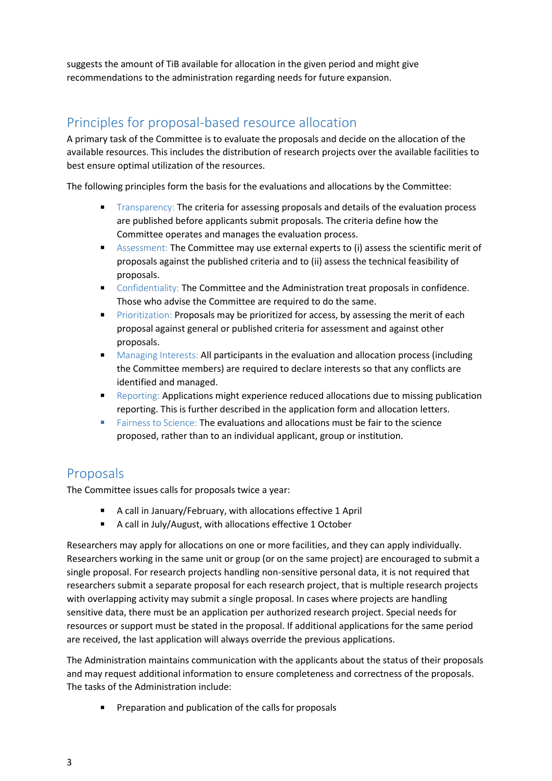suggests the amount of TiB available for allocation in the given period and might give recommendations to the administration regarding needs for future expansion.

# Principles for proposal-based resource allocation

A primary task of the Committee is to evaluate the proposals and decide on the allocation of the available resources. This includes the distribution of research projects over the available facilities to best ensure optimal utilization of the resources.

The following principles form the basis for the evaluations and allocations by the Committee:

- Transparency: The criteria for assessing proposals and details of the evaluation process are published before applicants submit proposals. The criteria define how the Committee operates and manages the evaluation process.
- Assessment: The Committee may use external experts to (i) assess the scientific merit of proposals against the published criteria and to (ii) assess the technical feasibility of proposals.
- Confidentiality: The Committee and the Administration treat proposals in confidence. Those who advise the Committee are required to do the same.
- Prioritization: Proposals may be prioritized for access, by assessing the merit of each proposal against general or published criteria for assessment and against other proposals.
- Managing Interests: All participants in the evaluation and allocation process (including the Committee members) are required to declare interests so that any conflicts are identified and managed.
- Reporting: Applications might experience reduced allocations due to missing publication reporting. This is further described in the application form and allocation letters.
- Fairness to Science: The evaluations and allocations must be fair to the science proposed, rather than to an individual applicant, group or institution.

## Proposals

The Committee issues calls for proposals twice a year:

- A call in January/February, with allocations effective 1 April
- A call in July/August, with allocations effective 1 October

Researchers may apply for allocations on one or more facilities, and they can apply individually. Researchers working in the same unit or group (or on the same project) are encouraged to submit a single proposal. For research projects handling non-sensitive personal data, it is not required that researchers submit a separate proposal for each research project, that is multiple research projects with overlapping activity may submit a single proposal. In cases where projects are handling sensitive data, there must be an application per authorized research project. Special needs for resources or support must be stated in the proposal. If additional applications for the same period are received, the last application will always override the previous applications.

The Administration maintains communication with the applicants about the status of their proposals and may request additional information to ensure completeness and correctness of the proposals. The tasks of the Administration include:

Preparation and publication of the calls for proposals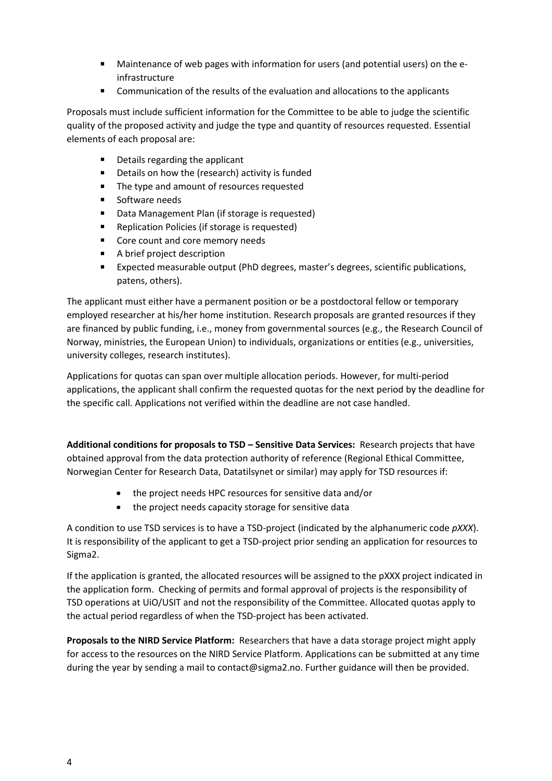- Maintenance of web pages with information for users (and potential users) on the einfrastructure
- Communication of the results of the evaluation and allocations to the applicants

Proposals must include sufficient information for the Committee to be able to judge the scientific quality of the proposed activity and judge the type and quantity of resources requested. Essential elements of each proposal are:

- Details regarding the applicant
- Details on how the (research) activity is funded
- The type and amount of resources requested
- Software needs
- Data Management Plan (if storage is requested)
- Replication Policies (if storage is requested)
- Core count and core memory needs
- A brief project description
- Expected measurable output (PhD degrees, master's degrees, scientific publications, patens, others).

The applicant must either have a permanent position or be a postdoctoral fellow or temporary employed researcher at his/her home institution. Research proposals are granted resources if they are financed by public funding, i.e., money from governmental sources (e.g., the Research Council of Norway, ministries, the European Union) to individuals, organizations or entities (e.g., universities, university colleges, research institutes).

Applications for quotas can span over multiple allocation periods. However, for multi-period applications, the applicant shall confirm the requested quotas for the next period by the deadline for the specific call. Applications not verified within the deadline are not case handled.

**Additional conditions for proposals to TSD – Sensitive Data Services:** Research projects that have obtained approval from the data protection authority of reference (Regional Ethical Committee, Norwegian Center for Research Data, Datatilsynet or similar) may apply for TSD resources if:

- the project needs HPC resources for sensitive data and/or
- the project needs capacity storage for sensitive data

A condition to use TSD services is to have a TSD-project (indicated by the alphanumeric code *pXXX*). It is responsibility of the applicant to get a TSD-project prior sending an application for resources to Sigma2.

If the application is granted, the allocated resources will be assigned to the pXXX project indicated in the application form. Checking of permits and formal approval of projects is the responsibility of TSD operations at UiO/USIT and not the responsibility of the Committee. Allocated quotas apply to the actual period regardless of when the TSD-project has been activated.

**Proposals to the NIRD Service Platform:** Researchers that have a data storage project might apply for access to the resources on the NIRD Service Platform. Applications can be submitted at any time during the year by sending a mail to contact@sigma2.no. Further guidance will then be provided.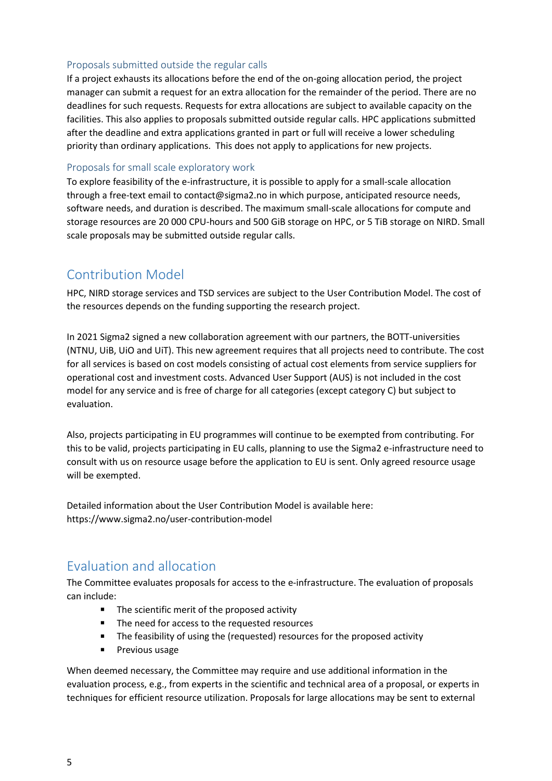## Proposals submitted outside the regular calls

If a project exhausts its allocations before the end of the on-going allocation period, the project manager can submit a request for an extra allocation for the remainder of the period. There are no deadlines for such requests. Requests for extra allocations are subject to available capacity on the facilities. This also applies to proposals submitted outside regular calls. HPC applications submitted after the deadline and extra applications granted in part or full will receive a lower scheduling priority than ordinary applications. This does not apply to applications for new projects.

#### Proposals for small scale exploratory work

To explore feasibility of the e-infrastructure, it is possible to apply for a small-scale allocation through a free-text email to contact@sigma2.no in which purpose, anticipated resource needs, software needs, and duration is described. The maximum small-scale allocations for compute and storage resources are 20 000 CPU-hours and 500 GiB storage on HPC, or 5 TiB storage on NIRD. Small scale proposals may be submitted outside regular calls.

## Contribution Model

HPC, NIRD storage services and TSD services are subject to the User Contribution Model. The cost of the resources depends on the funding supporting the research project.

In 2021 Sigma2 signed a new collaboration agreement with our partners, the BOTT-universities (NTNU, UiB, UiO and UiT). This new agreement requires that all projects need to contribute. The cost for all services is based on cost models consisting of actual cost elements from service suppliers for operational cost and investment costs. Advanced User Support (AUS) is not included in the cost model for any service and is free of charge for all categories (except category C) but subject to evaluation.

Also, projects participating in EU programmes will continue to be exempted from contributing. For this to be valid, projects participating in EU calls, planning to use the Sigma2 e-infrastructure need to consult with us on resource usage before the application to EU is sent. Only agreed resource usage will be exempted.

Detailed information about the User Contribution Model is available here: https://www.sigma2.no/user-contribution-model

## Evaluation and allocation

The Committee evaluates proposals for access to the e-infrastructure. The evaluation of proposals can include:

- The scientific merit of the proposed activity
- The need for access to the requested resources
- The feasibility of using the (requested) resources for the proposed activity
- Previous usage

When deemed necessary, the Committee may require and use additional information in the evaluation process, e.g., from experts in the scientific and technical area of a proposal, or experts in techniques for efficient resource utilization. Proposals for large allocations may be sent to external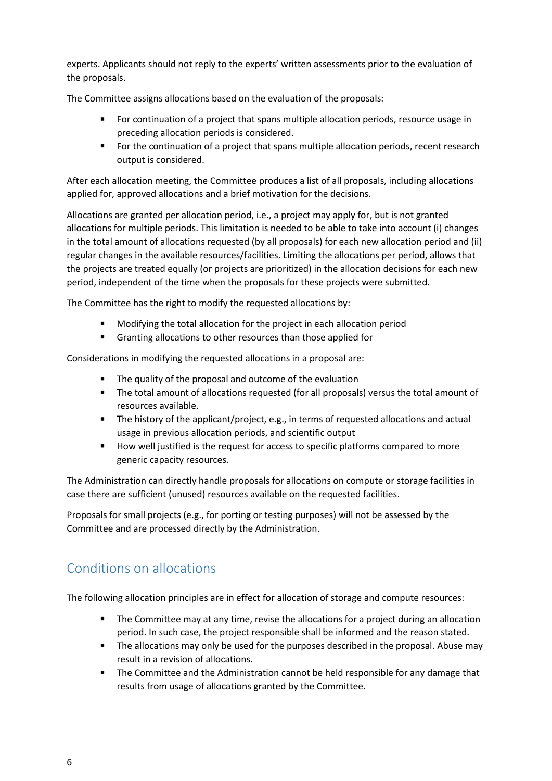experts. Applicants should not reply to the experts' written assessments prior to the evaluation of the proposals.

The Committee assigns allocations based on the evaluation of the proposals:

- For continuation of a project that spans multiple allocation periods, resource usage in preceding allocation periods is considered.
- For the continuation of a project that spans multiple allocation periods, recent research output is considered.

After each allocation meeting, the Committee produces a list of all proposals, including allocations applied for, approved allocations and a brief motivation for the decisions.

Allocations are granted per allocation period, i.e., a project may apply for, but is not granted allocations for multiple periods. This limitation is needed to be able to take into account (i) changes in the total amount of allocations requested (by all proposals) for each new allocation period and (ii) regular changes in the available resources/facilities. Limiting the allocations per period, allows that the projects are treated equally (or projects are prioritized) in the allocation decisions for each new period, independent of the time when the proposals for these projects were submitted.

The Committee has the right to modify the requested allocations by:

- Modifying the total allocation for the project in each allocation period
- Granting allocations to other resources than those applied for

Considerations in modifying the requested allocations in a proposal are:

- The quality of the proposal and outcome of the evaluation
- The total amount of allocations requested (for all proposals) versus the total amount of resources available.
- The history of the applicant/project, e.g., in terms of requested allocations and actual usage in previous allocation periods, and scientific output
- How well justified is the request for access to specific platforms compared to more generic capacity resources.

The Administration can directly handle proposals for allocations on compute or storage facilities in case there are sufficient (unused) resources available on the requested facilities.

Proposals for small projects (e.g., for porting or testing purposes) will not be assessed by the Committee and are processed directly by the Administration.

# Conditions on allocations

The following allocation principles are in effect for allocation of storage and compute resources:

- The Committee may at any time, revise the allocations for a project during an allocation period. In such case, the project responsible shall be informed and the reason stated.
- The allocations may only be used for the purposes described in the proposal. Abuse may result in a revision of allocations.
- The Committee and the Administration cannot be held responsible for any damage that results from usage of allocations granted by the Committee.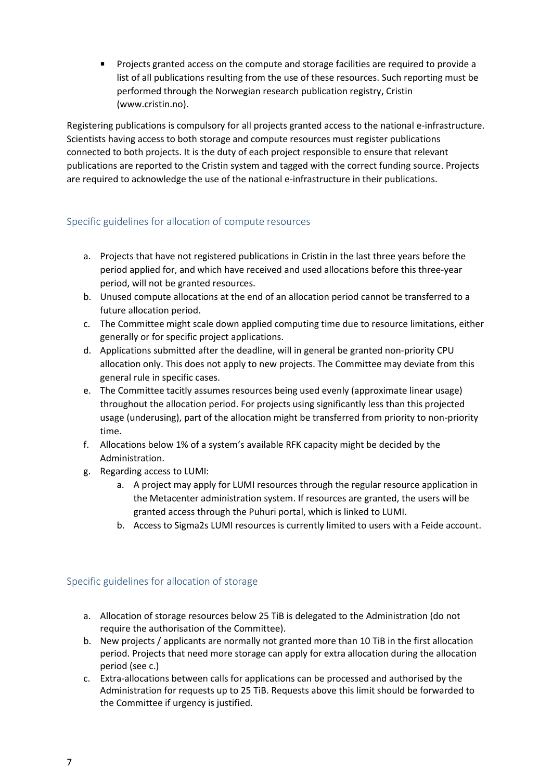Projects granted access on the compute and storage facilities are required to provide a list of all publications resulting from the use of these resources. Such reporting must be performed through the Norwegian research publication registry, Cristin (www.cristin.no).

Registering publications is compulsory for all projects granted access to the national e-infrastructure. Scientists having access to both storage and compute resources must register publications connected to both projects. It is the duty of each project responsible to ensure that relevant publications are reported to the Cristin system and tagged with the correct funding source. Projects are required to acknowledge the use of the national e-infrastructure in their publications.

## Specific guidelines for allocation of compute resources

- a. Projects that have not registered publications in Cristin in the last three years before the period applied for, and which have received and used allocations before this three-year period, will not be granted resources.
- b. Unused compute allocations at the end of an allocation period cannot be transferred to a future allocation period.
- c. The Committee might scale down applied computing time due to resource limitations, either generally or for specific project applications.
- d. Applications submitted after the deadline, will in general be granted non-priority CPU allocation only. This does not apply to new projects. The Committee may deviate from this general rule in specific cases.
- e. The Committee tacitly assumes resources being used evenly (approximate linear usage) throughout the allocation period. For projects using significantly less than this projected usage (underusing), part of the allocation might be transferred from priority to non-priority time.
- f. Allocations below 1% of a system's available RFK capacity might be decided by the Administration.
- g. Regarding access to LUMI:
	- a. A project may apply for LUMI resources through the regular resource application in the Metacenter administration system. If resources are granted, the users will be granted access through the Puhuri portal, which is linked to LUMI.
	- b. Access to Sigma2s LUMI resources is currently limited to users with a Feide account.

## Specific guidelines for allocation of storage

- a. Allocation of storage resources below 25 TiB is delegated to the Administration (do not require the authorisation of the Committee).
- b. New projects / applicants are normally not granted more than 10 TiB in the first allocation period. Projects that need more storage can apply for extra allocation during the allocation period (see c.)
- c. Extra-allocations between calls for applications can be processed and authorised by the Administration for requests up to 25 TiB. Requests above this limit should be forwarded to the Committee if urgency is justified.